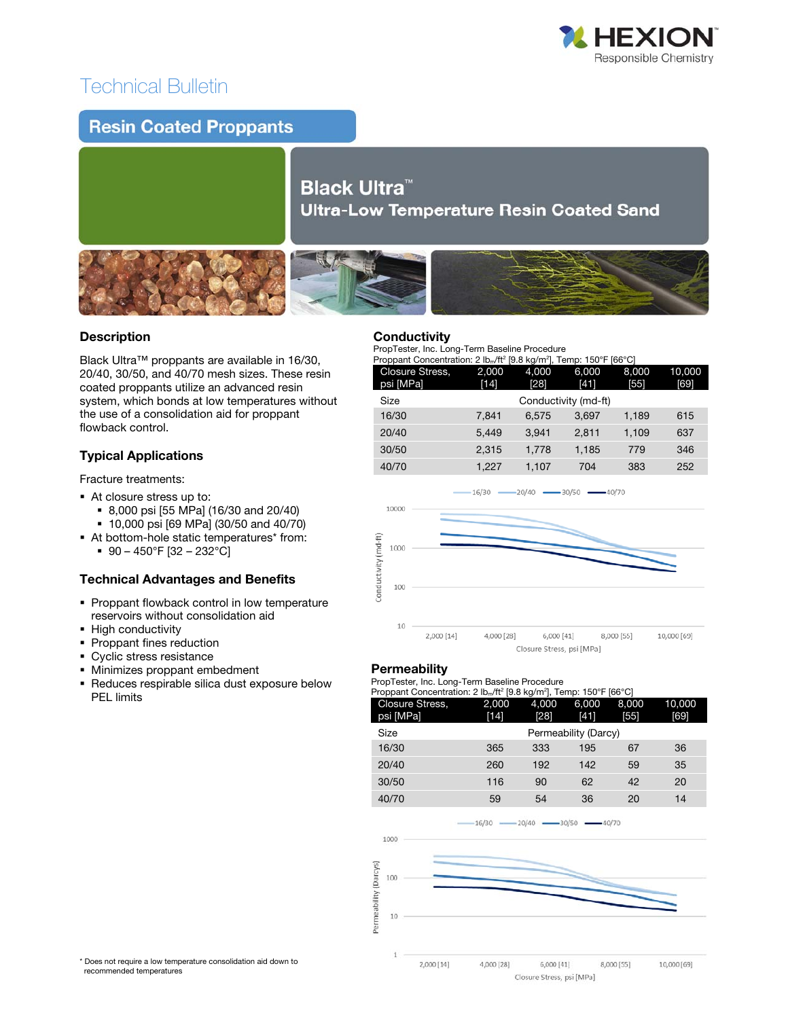

## Technical Bulletin

### **Resin Coated Proppants**

# **Black Ultra™ Ultra-Low Temperature Resin Coated Sand**



#### $\overline{a}$ Description

Black Ultra™ proppants are available in 16/30, 20/40, 30/50, and 40/70 mesh sizes. These resin coated proppants utilize an advanced resin system, which bonds at low temperatures without the use of a consolidation aid for proppant flowback control.

#### Typical Applications

Fracture treatments:

- At closure stress up to:
	- 8,000 psi [55 MPa] (16/30 and 20/40)
	- 10,000 psi [69 MPa] (30/50 and 40/70)
- At bottom-hole static temperatures\* from:  $90 - 450$ °F [32 – 232°C]

#### Technical Advantages and Benefits

- **Proppant flowback control in low temperature** reservoirs without consolidation aid
- **-** High conductivity
- Proppant fines reduction
- **Cyclic stress resistance**
- Minimizes proppant embedment
- Reduces respirable silica dust exposure below PEL limits

### **Conductivity**

PropTester, Inc. Long-Term Baseline Procedure

| Proppant Concentration: 2 lb <sub>m</sub> /ft <sup>2</sup> [9.8 kg/m <sup>2</sup> ], Temp: 150°F [66°C] |                      |       |       |       |        |  |  |
|---------------------------------------------------------------------------------------------------------|----------------------|-------|-------|-------|--------|--|--|
| Closure Stress,                                                                                         | 2.000                | 4.000 | 6.000 | 8.000 | 10,000 |  |  |
| psi [MPa]                                                                                               | [14]                 | [28]  | [41]  | [55]  | [69]   |  |  |
| Size                                                                                                    | Conductivity (md-ft) |       |       |       |        |  |  |
| 16/30                                                                                                   | 7.841                | 6.575 | 3.697 | 1.189 | 615    |  |  |
| 20/40                                                                                                   | 5.449                | 3.941 | 2.811 | 1.109 | 637    |  |  |

30/50 2,315 1,778 1,185 779 346



#### **Permeability**

PropTester, Inc. Long-Term Baseline Procedure

| Proppant Concentration: 2 lb <sub>m</sub> /ft <sup>2</sup> [9.8 kg/m <sup>2</sup> ], Temp: 150°F [66°C] |  |  |  |
|---------------------------------------------------------------------------------------------------------|--|--|--|
|                                                                                                         |  |  |  |

| Closure Stress,<br>psi [MPa] | 2,000<br>$[14]$      | 4,000<br>[28] | 6,000<br>$[41]$ | 8,000<br>[55] | 10,000<br>[69] |  |
|------------------------------|----------------------|---------------|-----------------|---------------|----------------|--|
| Size                         | Permeability (Darcy) |               |                 |               |                |  |
| 16/30                        | 365                  | 333           | 195             | 67            | 36             |  |
| 20/40                        | 260                  | 192           | 142             | 59            | 35             |  |
| 30/50                        | 116                  | 90            | 62              | 42            | 20             |  |
| 40/70                        | 59                   | 54            | 36              | 20            | 14             |  |



\* Does not require a low temperature consolidation aid down to recommended temperatures

Closure Stress, psi [MPa]